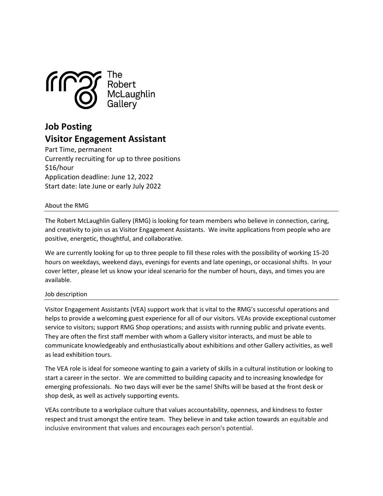

# Job Posting Visitor Engagement Assistant

Part Time, permanent Currently recruiting for up to three positions \$16/hour Application deadline: June 12, 2022 Start date: late June or early July 2022

# About the RMG

The Robert McLaughlin Gallery (RMG) is looking for team members who believe in connection, caring, and creativity to join us as Visitor Engagement Assistants. We invite applications from people who are positive, energetic, thoughtful, and collaborative.

We are currently looking for up to three people to fill these roles with the possibility of working 15-20 hours on weekdays, weekend days, evenings for events and late openings, or occasional shifts. In your cover letter, please let us know your ideal scenario for the number of hours, days, and times you are available.

# Job description

Visitor Engagement Assistants (VEA) support work that is vital to the RMG's successful operations and helps to provide a welcoming guest experience for all of our visitors. VEAs provide exceptional customer service to visitors; support RMG Shop operations; and assists with running public and private events. They are often the first staff member with whom a Gallery visitor interacts, and must be able to communicate knowledgeably and enthusiastically about exhibitions and other Gallery activities, as well as lead exhibition tours.

The VEA role is ideal for someone wanting to gain a variety of skills in a cultural institution or looking to start a career in the sector. We are committed to building capacity and to increasing knowledge for emerging professionals. No two days will ever be the same! Shifts will be based at the front desk or shop desk, as well as actively supporting events.

VEAs contribute to a workplace culture that values accountability, openness, and kindness to foster respect and trust amongst the entire team. They believe in and take action towards an equitable and inclusive environment that values and encourages each person's potential.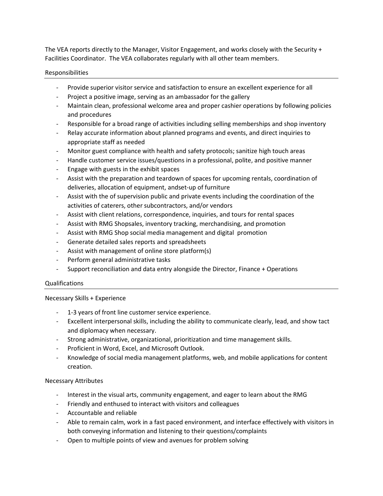The VEA reports directly to the Manager, Visitor Engagement, and works closely with the Security + Facilities Coordinator. The VEA collaborates regularly with all other team members.

# Responsibilities

- Provide superior visitor service and satisfaction to ensure an excellent experience for all
- Project a positive image, serving as an ambassador for the gallery
- Maintain clean, professional welcome area and proper cashier operations by following policies and procedures
- Responsible for a broad range of activities including selling memberships and shop inventory
- Relay accurate information about planned programs and events, and direct inquiries to appropriate staff as needed
- Monitor guest compliance with health and safety protocols; sanitize high touch areas
- Handle customer service issues/questions in a professional, polite, and positive manner
- Engage with guests in the exhibit spaces
- Assist with the preparation and teardown of spaces for upcoming rentals, coordination of deliveries, allocation of equipment, andset-up of furniture
- Assist with the of supervision public and private events including the coordination of the activities of caterers, other subcontractors, and/or vendors
- Assist with client relations, correspondence, inquiries, and tours for rental spaces
- Assist with RMG Shopsales, inventory tracking, merchandising, and promotion
- Assist with RMG Shop social media management and digital promotion
- Generate detailed sales reports and spreadsheets
- Assist with management of online store platform(s)
- Perform general administrative tasks
- Support reconciliation and data entry alongside the Director, Finance + Operations

## Qualifications

## Necessary Skills + Experience

- 1-3 years of front line customer service experience.
- Excellent interpersonal skills, including the ability to communicate clearly, lead, and show tact and diplomacy when necessary.
- Strong administrative, organizational, prioritization and time management skills.
- Proficient in Word, Excel, and Microsoft Outlook.
- Knowledge of social media management platforms, web, and mobile applications for content creation.

## Necessary Attributes

- Interest in the visual arts, community engagement, and eager to learn about the RMG
- Friendly and enthused to interact with visitors and colleagues
- Accountable and reliable
- Able to remain calm, work in a fast paced environment, and interface effectively with visitors in both conveying information and listening to their questions/complaints
- Open to multiple points of view and avenues for problem solving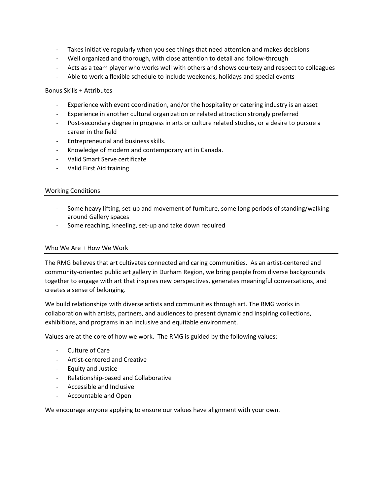- Takes initiative regularly when you see things that need attention and makes decisions
- Well organized and thorough, with close attention to detail and follow-through
- Acts as a team player who works well with others and shows courtesy and respect to colleagues
- Able to work a flexible schedule to include weekends, holidays and special events

#### Bonus Skills + Attributes

- Experience with event coordination, and/or the hospitality or catering industry is an asset
- Experience in another cultural organization or related attraction strongly preferred
- Post-secondary degree in progress in arts or culture related studies, or a desire to pursue a career in the field
- Entrepreneurial and business skills.
- Knowledge of modern and contemporary art in Canada.
- Valid Smart Serve certificate
- Valid First Aid training

#### Working Conditions

- Some heavy lifting, set-up and movement of furniture, some long periods of standing/walking around Gallery spaces
- Some reaching, kneeling, set-up and take down required

## Who We Are + How We Work

The RMG believes that art cultivates connected and caring communities. As an artist-centered and community-oriented public art gallery in Durham Region, we bring people from diverse backgrounds together to engage with art that inspires new perspectives, generates meaningful conversations, and creates a sense of belonging.

We build relationships with diverse artists and communities through art. The RMG works in collaboration with artists, partners, and audiences to present dynamic and inspiring collections, exhibitions, and programs in an inclusive and equitable environment.

Values are at the core of how we work. The RMG is guided by the following values:

- Culture of Care
- Artist-centered and Creative
- Equity and Justice
- Relationship-based and Collaborative
- Accessible and Inclusive
- Accountable and Open

We encourage anyone applying to ensure our values have alignment with your own.